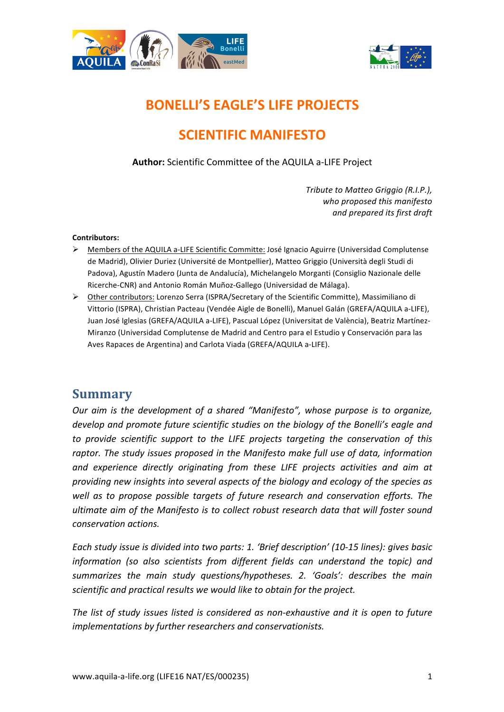



# **BONELLI'S EAGLE'S LIFE PROJECTS**

# **SCIENTIFIC MANIFESTO**

Author: Scientific Committee of the AQUILA a-LIFE Project

*Tribute to Matteo Griggio (R.I.P.), who proposed this manifesto and prepared its first draft*

#### **Contributors:**

- $\triangleright$  Members of the AQUILA a-LIFE Scientific Committe: José Ignacio Aguirre (Universidad Complutense de Madrid), Olivier Duriez (Université de Montpellier), Matteo Griggio (Università degli Studi di Padova), Agustín Madero (Junta de Andalucía), Michelangelo Morganti (Consiglio Nazionale delle Ricerche-CNR) and Antonio Román Muñoz-Gallego (Universidad de Málaga).
- $\triangleright$  Other contributors: Lorenzo Serra (ISPRA/Secretary of the Scientific Committe), Massimiliano di Vittorio (ISPRA), Christian Pacteau (Vendée Aigle de Bonelli), Manuel Galán (GREFA/AQUILA a-LIFE), Juan José Iglesias (GREFA/AQUILA a-LIFE), Pascual López (Universitat de València), Beatriz Martínez-Miranzo (Universidad Complutense de Madrid and Centro para el Estudio y Conservación para las Aves Rapaces de Argentina) and Carlota Viada (GREFA/AQUILA a-LIFE).

### **Summary**

*Our aim is the development of a shared "Manifesto", whose purpose is to organize, develop* and promote future scientific studies on the biology of the Bonelli's eagle and to provide scientific support to the LIFE projects targeting the conservation of this raptor. The study issues proposed in the Manifesto make full use of data, information and experience directly originating from these LIFE projects activities and aim at providing new insights into several aspects of the biology and ecology of the species as well as to propose possible targets of future research and conservation efforts. The *ultimate aim of the Manifesto is to collect robust research data that will foster sound conservation actions.* 

Each study issue is divided into two parts: 1. 'Brief description' (10-15 lines): gives basic *information* (so also scientists from different fields can understand the topic) and summarizes the main study questions/hypotheses. 2. 'Goals': describes the main *scientific and practical results* we would like to obtain for the project.

The list of study issues listed is considered as non-exhaustive and it is open to future implementations by further researchers and conservationists.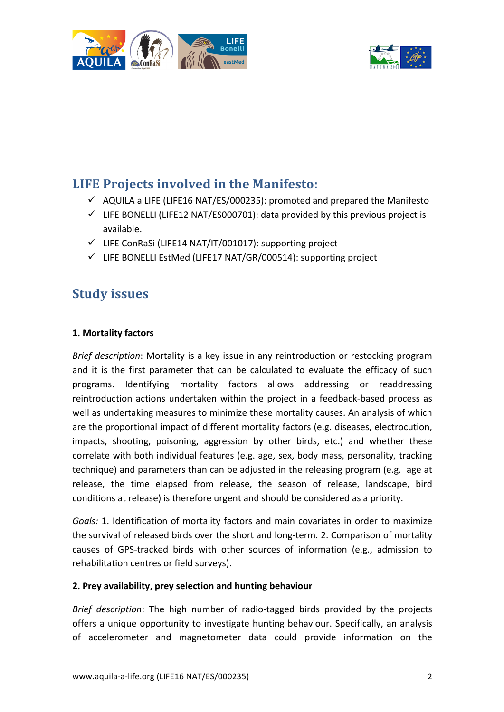



## **LIFE Projects involved in the Manifesto:**

- $\checkmark$  AQUILA a LIFE (LIFE16 NAT/ES/000235): promoted and prepared the Manifesto
- $\checkmark$  LIFE BONELLI (LIFE12 NAT/ES000701): data provided by this previous project is available.
- $\checkmark$  LIFE ConRaSi (LIFE14 NAT/IT/001017): supporting project
- $\checkmark$  LIFE BONELLI EstMed (LIFE17 NAT/GR/000514): supporting project

## **Study issues**

#### **1. Mortality factors**

*Brief description*: Mortality is a key issue in any reintroduction or restocking program and it is the first parameter that can be calculated to evaluate the efficacy of such programs. Identifying mortality factors allows addressing or readdressing reintroduction actions undertaken within the project in a feedback-based process as well as undertaking measures to minimize these mortality causes. An analysis of which are the proportional impact of different mortality factors (e.g. diseases, electrocution, impacts, shooting, poisoning, aggression by other birds, etc.) and whether these correlate with both individual features (e.g. age, sex, body mass, personality, tracking technique) and parameters than can be adjusted in the releasing program (e.g. age at release, the time elapsed from release, the season of release, landscape, bird conditions at release) is therefore urgent and should be considered as a priority.

Goals: 1. Identification of mortality factors and main covariates in order to maximize the survival of released birds over the short and long-term. 2. Comparison of mortality causes of GPS-tracked birds with other sources of information (e.g., admission to rehabilitation centres or field surveys).

#### 2. Prey availability, prey selection and hunting behaviour

*Brief description*: The high number of radio-tagged birds provided by the projects offers a unique opportunity to investigate hunting behaviour. Specifically, an analysis of accelerometer and magnetometer data could provide information on the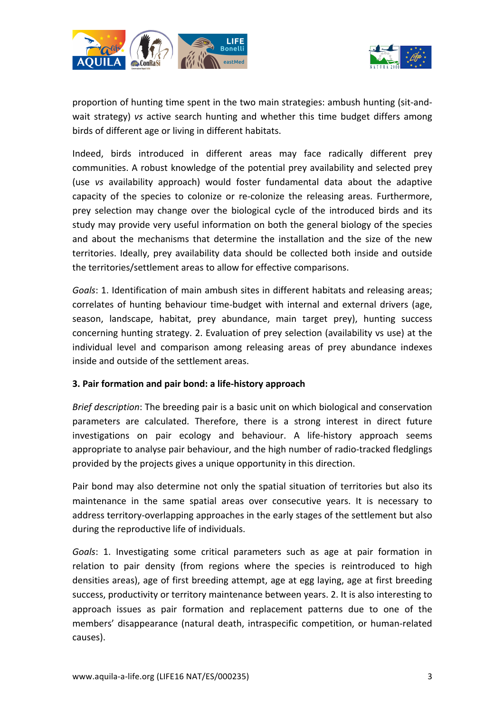



proportion of hunting time spent in the two main strategies: ambush hunting (sit-andwait strategy) *vs* active search hunting and whether this time budget differs among birds of different age or living in different habitats.

Indeed, birds introduced in different areas may face radically different prey communities. A robust knowledge of the potential prey availability and selected prey (use *vs* availability approach) would foster fundamental data about the adaptive capacity of the species to colonize or re-colonize the releasing areas. Furthermore, prey selection may change over the biological cycle of the introduced birds and its study may provide very useful information on both the general biology of the species and about the mechanisms that determine the installation and the size of the new territories. Ideally, prey availability data should be collected both inside and outside the territories/settlement areas to allow for effective comparisons.

*Goals*: 1. Identification of main ambush sites in different habitats and releasing areas; correlates of hunting behaviour time-budget with internal and external drivers (age, season, landscape, habitat, prey abundance, main target prey), hunting success concerning hunting strategy. 2. Evaluation of prey selection (availability vs use) at the individual level and comparison among releasing areas of prey abundance indexes inside and outside of the settlement areas.

#### **3. Pair formation and pair bond: a life-history approach**

*Brief description*: The breeding pair is a basic unit on which biological and conservation parameters are calculated. Therefore, there is a strong interest in direct future investigations on pair ecology and behaviour. A life-history approach seems appropriate to analyse pair behaviour, and the high number of radio-tracked fledglings provided by the projects gives a unique opportunity in this direction.

Pair bond may also determine not only the spatial situation of territories but also its maintenance in the same spatial areas over consecutive years. It is necessary to address territory-overlapping approaches in the early stages of the settlement but also during the reproductive life of individuals.

*Goals*: 1. Investigating some critical parameters such as age at pair formation in relation to pair density (from regions where the species is reintroduced to high densities areas), age of first breeding attempt, age at egg laying, age at first breeding success, productivity or territory maintenance between years. 2. It is also interesting to approach issues as pair formation and replacement patterns due to one of the members' disappearance (natural death, intraspecific competition, or human-related causes).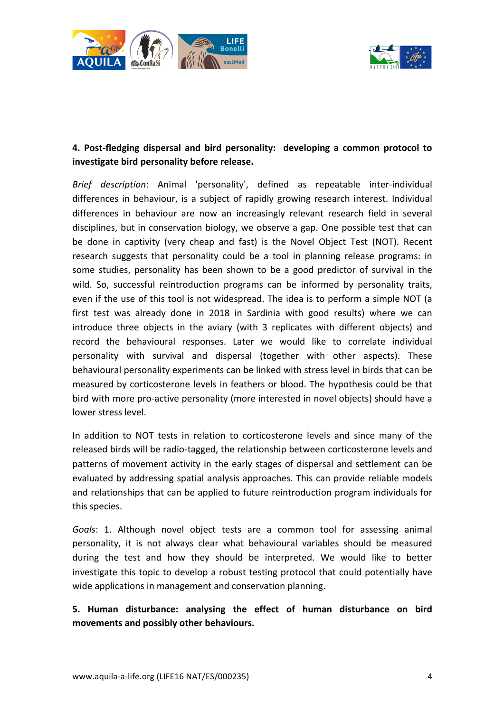



#### 4. Post-fledging dispersal and bird personality: developing a common protocol to investigate bird personality before release.

*Brief description*: Animal 'personality', defined as repeatable inter-individual differences in behaviour, is a subject of rapidly growing research interest. Individual differences in behaviour are now an increasingly relevant research field in several disciplines, but in conservation biology, we observe a gap. One possible test that can be done in captivity (very cheap and fast) is the Novel Object Test (NOT). Recent research suggests that personality could be a tool in planning release programs: in some studies, personality has been shown to be a good predictor of survival in the wild. So, successful reintroduction programs can be informed by personality traits, even if the use of this tool is not widespread. The idea is to perform a simple NOT (a first test was already done in 2018 in Sardinia with good results) where we can introduce three objects in the aviary (with 3 replicates with different objects) and record the behavioural responses. Later we would like to correlate individual personality with survival and dispersal (together with other aspects). These behavioural personality experiments can be linked with stress level in birds that can be measured by corticosterone levels in feathers or blood. The hypothesis could be that bird with more pro-active personality (more interested in novel objects) should have a lower stress level.

In addition to NOT tests in relation to corticosterone levels and since many of the released birds will be radio-tagged, the relationship between corticosterone levels and patterns of movement activity in the early stages of dispersal and settlement can be evaluated by addressing spatial analysis approaches. This can provide reliable models and relationships that can be applied to future reintroduction program individuals for this species.

Goals: 1. Although novel object tests are a common tool for assessing animal personality, it is not always clear what behavioural variables should be measured during the test and how they should be interpreted. We would like to better investigate this topic to develop a robust testing protocol that could potentially have wide applications in management and conservation planning.

**5. Human disturbance: analysing the effect of human disturbance on bird movements and possibly other behaviours.**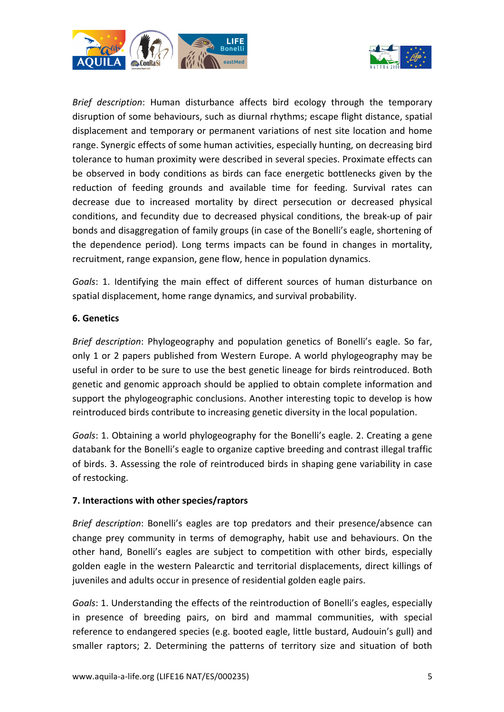



*Brief description*: Human disturbance affects bird ecology through the temporary disruption of some behaviours, such as diurnal rhythms; escape flight distance, spatial displacement and temporary or permanent variations of nest site location and home range. Synergic effects of some human activities, especially hunting, on decreasing bird tolerance to human proximity were described in several species. Proximate effects can be observed in body conditions as birds can face energetic bottlenecks given by the reduction of feeding grounds and available time for feeding. Survival rates can decrease due to increased mortality by direct persecution or decreased physical conditions, and fecundity due to decreased physical conditions, the break-up of pair bonds and disaggregation of family groups (in case of the Bonelli's eagle, shortening of the dependence period). Long terms impacts can be found in changes in mortality, recruitment, range expansion, gene flow, hence in population dynamics.

Goals: 1. Identifying the main effect of different sources of human disturbance on spatial displacement, home range dynamics, and survival probability.

#### **6. Genetics**

*Brief description*: Phylogeography and population genetics of Bonelli's eagle. So far, only 1 or 2 papers published from Western Europe. A world phylogeography may be useful in order to be sure to use the best genetic lineage for birds reintroduced. Both genetic and genomic approach should be applied to obtain complete information and support the phylogeographic conclusions. Another interesting topic to develop is how reintroduced birds contribute to increasing genetic diversity in the local population.

*Goals*: 1. Obtaining a world phylogeography for the Bonelli's eagle. 2. Creating a gene databank for the Bonelli's eagle to organize captive breeding and contrast illegal traffic of birds. 3. Assessing the role of reintroduced birds in shaping gene variability in case of restocking.

#### **7. Interactions with other species/raptors**

*Brief description*: Bonelli's eagles are top predators and their presence/absence can change prey community in terms of demography, habit use and behaviours. On the other hand, Bonelli's eagles are subject to competition with other birds, especially golden eagle in the western Palearctic and territorial displacements, direct killings of juveniles and adults occur in presence of residential golden eagle pairs.

*Goals*: 1. Understanding the effects of the reintroduction of Bonelli's eagles, especially in presence of breeding pairs, on bird and mammal communities, with special reference to endangered species (e.g. booted eagle, little bustard, Audouin's gull) and smaller raptors; 2. Determining the patterns of territory size and situation of both